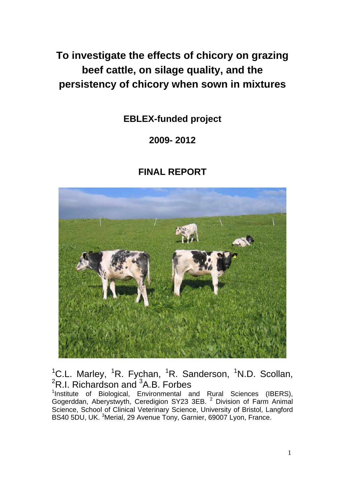**To investigate the effects of chicory on grazing beef cattle, on silage quality, and the persistency of chicory when sown in mixtures** 

**EBLEX-funded project** 

# **2009- 2012**

# **FINAL REPORT**



<sup>1</sup>C.L. Marley, <sup>1</sup>R. Fychan, <sup>1</sup>R. Sanderson, <sup>1</sup>N.D. Scollan,  ${}^{2}$ R.I. Richardson and  ${}^{3}$ A.B. Forbes

<sup>1</sup>Institute of Biological, Environmental and Rural Sciences (IBERS), Gogerddan, Aberystwyth, Ceredigion SY23 3EB. <sup>2</sup> Division of Farm Animal Science, School of Clinical Veterinary Science, University of Bristol, Langford BS40 5DU, UK. <sup>3</sup>Merial, 29 Avenue Tony, Garnier, 69007 Lyon, France.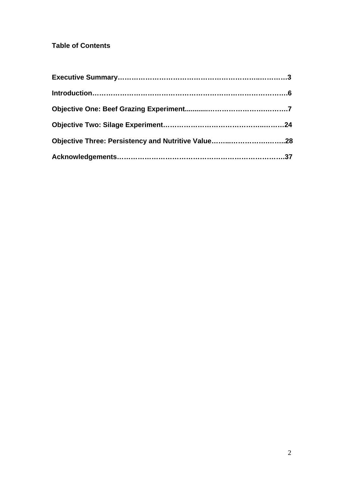## **Table of Contents**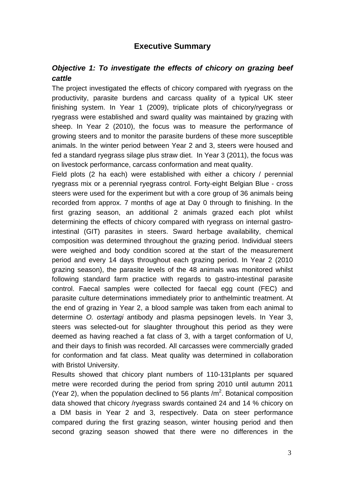## **Executive Summary**

## *Objective 1: To investigate the effects of chicory on grazing beef cattle*

The project investigated the effects of chicory compared with ryegrass on the productivity, parasite burdens and carcass quality of a typical UK steer finishing system. In Year 1 (2009), triplicate plots of chicory/ryegrass or ryegrass were established and sward quality was maintained by grazing with sheep. In Year 2 (2010), the focus was to measure the performance of growing steers and to monitor the parasite burdens of these more susceptible animals. In the winter period between Year 2 and 3, steers were housed and fed a standard ryegrass silage plus straw diet. In Year 3 (2011), the focus was on livestock performance, carcass conformation and meat quality.

Field plots (2 ha each) were established with either a chicory / perennial ryegrass mix or a perennial ryegrass control. Forty-eight Belgian Blue - cross steers were used for the experiment but with a core group of 36 animals being recorded from approx. 7 months of age at Day 0 through to finishing. In the first grazing season, an additional 2 animals grazed each plot whilst determining the effects of chicory compared with ryegrass on internal gastrointestinal (GIT) parasites in steers. Sward herbage availability, chemical composition was determined throughout the grazing period. Individual steers were weighed and body condition scored at the start of the measurement period and every 14 days throughout each grazing period. In Year 2 (2010 grazing season), the parasite levels of the 48 animals was monitored whilst following standard farm practice with regards to gastro-intestinal parasite control. Faecal samples were collected for faecal egg count (FEC) and parasite culture determinations immediately prior to anthelmintic treatment. At the end of grazing in Year 2, a blood sample was taken from each animal to determine *O. ostertagi* antibody and plasma pepsinogen levels. In Year 3, steers was selected-out for slaughter throughout this period as they were deemed as having reached a fat class of 3, with a target conformation of U, and their days to finish was recorded. All carcasses were commercially graded for conformation and fat class. Meat quality was determined in collaboration with Bristol University.

Results showed that chicory plant numbers of 110-131plants per squared metre were recorded during the period from spring 2010 until autumn 2011 (Year 2), when the population declined to 56 plants  $/m<sup>2</sup>$ . Botanical composition data showed that chicory /ryegrass swards contained 24 and 14 % chicory on a DM basis in Year 2 and 3, respectively. Data on steer performance compared during the first grazing season, winter housing period and then second grazing season showed that there were no differences in the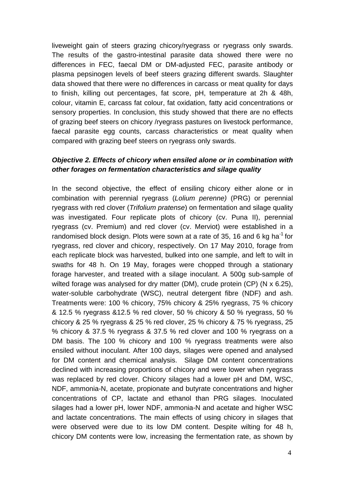liveweight gain of steers grazing chicory/ryegrass or ryegrass only swards. The results of the gastro-intestinal parasite data showed there were no differences in FEC, faecal DM or DM-adjusted FEC, parasite antibody or plasma pepsinogen levels of beef steers grazing different swards. Slaughter data showed that there were no differences in carcass or meat quality for days to finish, killing out percentages, fat score, pH, temperature at 2h & 48h, colour, vitamin E, carcass fat colour, fat oxidation, fatty acid concentrations or sensory properties. In conclusion, this study showed that there are no effects of grazing beef steers on chicory /ryegrass pastures on livestock performance, faecal parasite egg counts, carcass characteristics or meat quality when compared with grazing beef steers on ryegrass only swards.

## *Objective 2. Effects of chicory when ensiled alone or in combination with other forages on fermentation characteristics and silage quality*

In the second objective, the effect of ensiling chicory either alone or in combination with perennial ryegrass (*Lolium perenne)* (PRG) or perennial ryegrass with red clover (*Trifolium pratense*) on fermentation and silage quality was investigated. Four replicate plots of chicory (cv. Puna II), perennial ryegrass (cv. Premium) and red clover (cv. Merviot) were established in a randomised block design. Plots were sown at a rate of 35, 16 and 6 kg ha<sup>-1</sup> for ryegrass, red clover and chicory, respectively. On 17 May 2010, forage from each replicate block was harvested, bulked into one sample, and left to wilt in swaths for 48 h. On 19 May, forages were chopped through a stationary forage harvester, and treated with a silage inoculant. A 500g sub-sample of wilted forage was analysed for dry matter (DM), crude protein (CP) (N x 6.25), water-soluble carbohydrate (WSC), neutral detergent fibre (NDF) and ash. Treatments were: 100 % chicory, 75% chicory & 25% ryegrass, 75 % chicory & 12.5 % ryegrass &12.5 % red clover, 50 % chicory & 50 % ryegrass, 50 % chicory & 25 % ryegrass & 25 % red clover, 25 % chicory & 75 % ryegrass, 25 % chicory & 37.5 % ryegrass & 37.5 % red clover and 100 % ryegrass on a DM basis. The 100 % chicory and 100 % ryegrass treatments were also ensiled without inoculant. After 100 days, silages were opened and analysed for DM content and chemical analysis. Silage DM content concentrations declined with increasing proportions of chicory and were lower when ryegrass was replaced by red clover. Chicory silages had a lower pH and DM, WSC, NDF, ammonia-N, acetate, propionate and butyrate concentrations and higher concentrations of CP, lactate and ethanol than PRG silages. Inoculated silages had a lower pH, lower NDF, ammonia-N and acetate and higher WSC and lactate concentrations. The main effects of using chicory in silages that were observed were due to its low DM content. Despite wilting for 48 h, chicory DM contents were low, increasing the fermentation rate, as shown by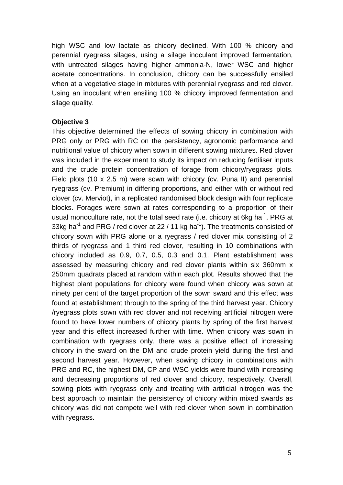high WSC and low lactate as chicory declined. With 100 % chicory and perennial ryegrass silages, using a silage inoculant improved fermentation, with untreated silages having higher ammonia-N, lower WSC and higher acetate concentrations. In conclusion, chicory can be successfully ensiled when at a vegetative stage in mixtures with perennial ryegrass and red clover. Using an inoculant when ensiling 100 % chicory improved fermentation and silage quality.

#### **Objective 3**

This objective determined the effects of sowing chicory in combination with PRG only or PRG with RC on the persistency, agronomic performance and nutritional value of chicory when sown in different sowing mixtures. Red clover was included in the experiment to study its impact on reducing fertiliser inputs and the crude protein concentration of forage from chicory/ryegrass plots. Field plots (10 x 2.5 m) were sown with chicory (cv. Puna II) and perennial ryegrass (cv. Premium) in differing proportions, and either with or without red clover (cv. Merviot), in a replicated randomised block design with four replicate blocks. Forages were sown at rates corresponding to a proportion of their usual monoculture rate, not the total seed rate (i.e. chicory at 6kg ha<sup>-1</sup>, PRG at 33kg ha $^{-1}$  and PRG / red clover at 22 / 11 kg ha $^{-1}$ ). The treatments consisted of chicory sown with PRG alone or a ryegrass / red clover mix consisting of 2 thirds of ryegrass and 1 third red clover, resulting in 10 combinations with chicory included as 0.9, 0.7, 0.5, 0.3 and 0.1. Plant establishment was assessed by measuring chicory and red clover plants within six 360mm x 250mm quadrats placed at random within each plot. Results showed that the highest plant populations for chicory were found when chicory was sown at ninety per cent of the target proportion of the sown sward and this effect was found at establishment through to the spring of the third harvest year. Chicory /ryegrass plots sown with red clover and not receiving artificial nitrogen were found to have lower numbers of chicory plants by spring of the first harvest year and this effect increased further with time. When chicory was sown in combination with ryegrass only, there was a positive effect of increasing chicory in the sward on the DM and crude protein yield during the first and second harvest year. However, when sowing chicory in combinations with PRG and RC, the highest DM, CP and WSC yields were found with increasing and decreasing proportions of red clover and chicory, respectively. Overall, sowing plots with ryegrass only and treating with artificial nitrogen was the best approach to maintain the persistency of chicory within mixed swards as chicory was did not compete well with red clover when sown in combination with ryegrass.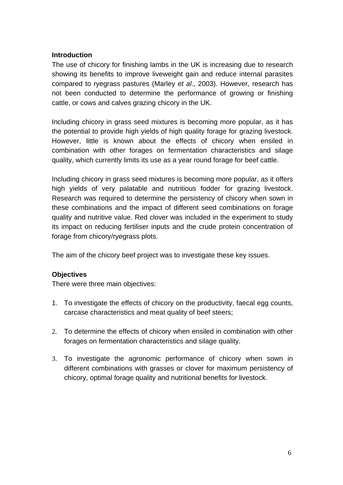#### **Introduction**

The use of chicory for finishing lambs in the UK is increasing due to research showing its benefits to improve liveweight gain and reduce internal parasites compared to ryegrass pastures (Marley *et al*., 2003). However, research has not been conducted to determine the performance of growing or finishing cattle, or cows and calves grazing chicory in the UK.

Including chicory in grass seed mixtures is becoming more popular, as it has the potential to provide high yields of high quality forage for grazing livestock. However, little is known about the effects of chicory when ensiled in combination with other forages on fermentation characteristics and silage quality, which currently limits its use as a year round forage for beef cattle.

Including chicory in grass seed mixtures is becoming more popular, as it offers high yields of very palatable and nutritious fodder for grazing livestock. Research was required to determine the persistency of chicory when sown in these combinations and the impact of different seed combinations on forage quality and nutritive value. Red clover was included in the experiment to study its impact on reducing fertiliser inputs and the crude protein concentration of forage from chicory/ryegrass plots.

The aim of the chicory beef project was to investigate these key issues.

### **Objectives**

There were three main objectives:

- 1. To investigate the effects of chicory on the productivity, faecal egg counts, carcase characteristics and meat quality of beef steers;
- 2. To determine the effects of chicory when ensiled in combination with other forages on fermentation characteristics and silage quality.
- 3. To investigate the agronomic performance of chicory when sown in different combinations with grasses or clover for maximum persistency of chicory, optimal forage quality and nutritional benefits for livestock.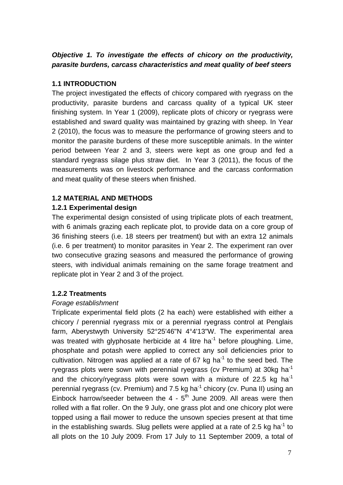## *Objective 1. To investigate the effects of chicory on the productivity, parasite burdens, carcass characteristics and meat quality of beef steers*

## **1.1 INTRODUCTION**

The project investigated the effects of chicory compared with ryegrass on the productivity, parasite burdens and carcass quality of a typical UK steer finishing system. In Year 1 (2009), replicate plots of chicory or ryegrass were established and sward quality was maintained by grazing with sheep. In Year 2 (2010), the focus was to measure the performance of growing steers and to monitor the parasite burdens of these more susceptible animals. In the winter period between Year 2 and 3, steers were kept as one group and fed a standard ryegrass silage plus straw diet. In Year 3 (2011), the focus of the measurements was on livestock performance and the carcass conformation and meat quality of these steers when finished.

## **1.2 MATERIAL AND METHODS**

### **1.2.1 Experimental design**

The experimental design consisted of using triplicate plots of each treatment, with 6 animals grazing each replicate plot, to provide data on a core group of 36 finishing steers (i.e. 18 steers per treatment) but with an extra 12 animals (i.e. 6 per treatment) to monitor parasites in Year 2. The experiment ran over two consecutive grazing seasons and measured the performance of growing steers, with individual animals remaining on the same forage treatment and replicate plot in Year 2 and 3 of the project.

### **1.2.2 Treatments**

### *Forage establishment*

Triplicate experimental field plots (2 ha each) were established with either a chicory / perennial ryegrass mix or a perennial ryegrass control at Penglais farm, Aberystwyth University 52°25'46"N 4°4'13"W. The experimental area was treated with glyphosate herbicide at 4 litre ha<sup>-1</sup> before ploughing. Lime, phosphate and potash were applied to correct any soil deficiencies prior to cultivation. Nitrogen was applied at a rate of 67 kg ha<sup>-1</sup> to the seed bed. The ryegrass plots were sown with perennial ryegrass (cv Premium) at 30kg ha<sup>-1</sup> and the chicory/ryegrass plots were sown with a mixture of 22.5 kg ha<sup>-1</sup> perennial ryegrass (cv. Premium) and 7.5 kg ha $^{-1}$  chicory (cv. Puna II) using an Einbock harrow/seeder between the  $4 - 5$ <sup>th</sup> June 2009. All areas were then rolled with a flat roller. On the 9 July, one grass plot and one chicory plot were topped using a flail mower to reduce the unsown species present at that time in the establishing swards. Slug pellets were applied at a rate of 2.5 kg ha<sup>-1</sup> to all plots on the 10 July 2009. From 17 July to 11 September 2009, a total of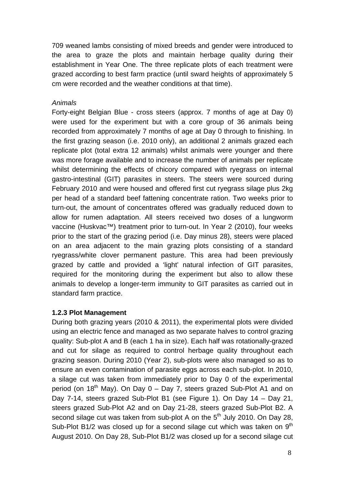709 weaned lambs consisting of mixed breeds and gender were introduced to the area to graze the plots and maintain herbage quality during their establishment in Year One. The three replicate plots of each treatment were grazed according to best farm practice (until sward heights of approximately 5 cm were recorded and the weather conditions at that time).

#### *Animals*

Forty-eight Belgian Blue - cross steers (approx. 7 months of age at Day 0) were used for the experiment but with a core group of 36 animals being recorded from approximately 7 months of age at Day 0 through to finishing. In the first grazing season (i.e. 2010 only), an additional 2 animals grazed each replicate plot (total extra 12 animals) whilst animals were younger and there was more forage available and to increase the number of animals per replicate whilst determining the effects of chicory compared with ryegrass on internal gastro-intestinal (GIT) parasites in steers. The steers were sourced during February 2010 and were housed and offered first cut ryegrass silage plus 2kg per head of a standard beef fattening concentrate ration. Two weeks prior to turn-out, the amount of concentrates offered was gradually reduced down to allow for rumen adaptation. All steers received two doses of a lungworm vaccine (Huskvac™) treatment prior to turn-out. In Year 2 (2010), four weeks prior to the start of the grazing period (i.e. Day minus 28), steers were placed on an area adjacent to the main grazing plots consisting of a standard ryegrass/white clover permanent pasture. This area had been previously grazed by cattle and provided a 'light' natural infection of GIT parasites, required for the monitoring during the experiment but also to allow these animals to develop a longer-term immunity to GIT parasites as carried out in standard farm practice.

### **1.2.3 Plot Management**

During both grazing years (2010 & 2011), the experimental plots were divided using an electric fence and managed as two separate halves to control grazing quality: Sub-plot A and B (each 1 ha in size). Each half was rotationally-grazed and cut for silage as required to control herbage quality throughout each grazing season. During 2010 (Year 2), sub-plots were also managed so as to ensure an even contamination of parasite eggs across each sub-plot. In 2010, a silage cut was taken from immediately prior to Day 0 of the experimental period (on  $18<sup>th</sup>$  May). On Day 0 – Day 7, steers grazed Sub-Plot A1 and on Day 7-14, steers grazed Sub-Plot B1 (see Figure 1). On Day 14 – Day 21, steers grazed Sub-Plot A2 and on Day 21-28, steers grazed Sub-Plot B2. A second silage cut was taken from sub-plot A on the  $5<sup>th</sup>$  July 2010. On Day 28, Sub-Plot B1/2 was closed up for a second silage cut which was taken on  $9<sup>th</sup>$ August 2010. On Day 28, Sub-Plot B1/2 was closed up for a second silage cut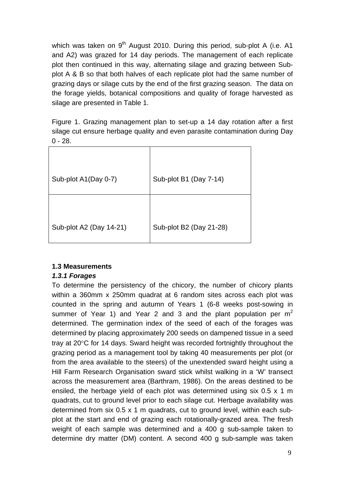which was taken on  $9<sup>th</sup>$  August 2010. During this period, sub-plot A (i.e. A1 and A2) was grazed for 14 day periods. The management of each replicate plot then continued in this way, alternating silage and grazing between Subplot A & B so that both halves of each replicate plot had the same number of grazing days or silage cuts by the end of the first grazing season. The data on the forage yields, botanical compositions and quality of forage harvested as silage are presented in Table 1.

Figure 1. Grazing management plan to set-up a 14 day rotation after a first silage cut ensure herbage quality and even parasite contamination during Day  $0 - 28.$ 

| Sub-plot A1(Day 0-7)    | Sub-plot B1 (Day 7-14)  |
|-------------------------|-------------------------|
|                         |                         |
| Sub-plot A2 (Day 14-21) | Sub-plot B2 (Day 21-28) |

### **1.3 Measurements**

### *1.3.1 Forages*

To determine the persistency of the chicory, the number of chicory plants within a 360mm x 250mm quadrat at 6 random sites across each plot was counted in the spring and autumn of Years 1 (6-8 weeks post-sowing in summer of Year 1) and Year 2 and 3 and the plant population per  $m<sup>2</sup>$ determined. The germination index of the seed of each of the forages was determined by placing approximately 200 seeds on dampened tissue in a seed tray at 20°C for 14 days. Sward height was recorded fortnightly throughout the grazing period as a management tool by taking 40 measurements per plot (or from the area available to the steers) of the unextended sward height using a Hill Farm Research Organisation sward stick whilst walking in a 'W' transect across the measurement area (Barthram, 1986). On the areas destined to be ensiled, the herbage yield of each plot was determined using six 0.5 x 1 m quadrats, cut to ground level prior to each silage cut. Herbage availability was determined from six 0.5 x 1 m quadrats, cut to ground level, within each subplot at the start and end of grazing each rotationally-grazed area. The fresh weight of each sample was determined and a 400 g sub-sample taken to determine dry matter (DM) content. A second 400 g sub-sample was taken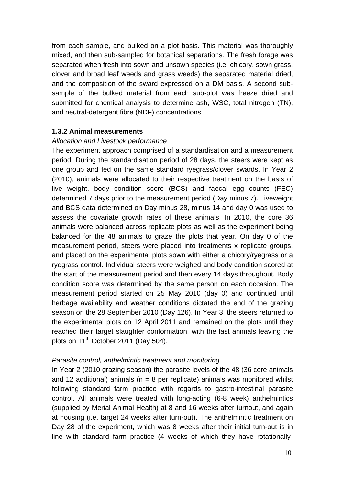from each sample, and bulked on a plot basis. This material was thoroughly mixed, and then sub-sampled for botanical separations. The fresh forage was separated when fresh into sown and unsown species (i.e. chicory, sown grass, clover and broad leaf weeds and grass weeds) the separated material dried, and the composition of the sward expressed on a DM basis. A second subsample of the bulked material from each sub-plot was freeze dried and submitted for chemical analysis to determine ash, WSC, total nitrogen (TN), and neutral-detergent fibre (NDF) concentrations

#### **1.3.2 Animal measurements**

#### *Allocation and Livestock performance*

The experiment approach comprised of a standardisation and a measurement period. During the standardisation period of 28 days, the steers were kept as one group and fed on the same standard ryegrass/clover swards. In Year 2 (2010), animals were allocated to their respective treatment on the basis of live weight, body condition score (BCS) and faecal egg counts (FEC) determined 7 days prior to the measurement period (Day minus 7). Liveweight and BCS data determined on Day minus 28, minus 14 and day 0 was used to assess the covariate growth rates of these animals. In 2010, the core 36 animals were balanced across replicate plots as well as the experiment being balanced for the 48 animals to graze the plots that year. On day 0 of the measurement period, steers were placed into treatments x replicate groups, and placed on the experimental plots sown with either a chicory/ryegrass or a ryegrass control. Individual steers were weighed and body condition scored at the start of the measurement period and then every 14 days throughout. Body condition score was determined by the same person on each occasion. The measurement period started on 25 May 2010 (day 0) and continued until herbage availability and weather conditions dictated the end of the grazing season on the 28 September 2010 (Day 126). In Year 3, the steers returned to the experimental plots on 12 April 2011 and remained on the plots until they reached their target slaughter conformation, with the last animals leaving the plots on 11<sup>th</sup> October 2011 (Day 504).

#### *Parasite control, anthelmintic treatment and monitoring*

In Year 2 (2010 grazing season) the parasite levels of the 48 (36 core animals and 12 additional) animals ( $n = 8$  per replicate) animals was monitored whilst following standard farm practice with regards to gastro-intestinal parasite control. All animals were treated with long-acting (6-8 week) anthelmintics (supplied by Merial Animal Health) at 8 and 16 weeks after turnout, and again at housing (i.e. target 24 weeks after turn-out). The anthelmintic treatment on Day 28 of the experiment, which was 8 weeks after their initial turn-out is in line with standard farm practice (4 weeks of which they have rotationally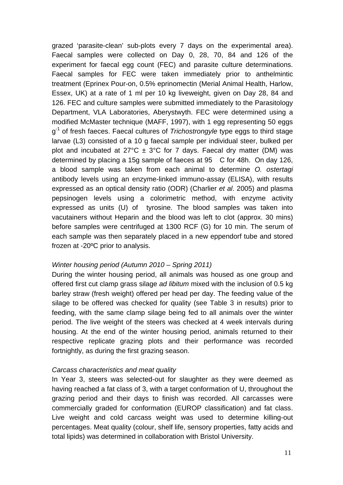grazed 'parasite-clean' sub-plots every 7 days on the experimental area). Faecal samples were collected on Day 0, 28, 70, 84 and 126 of the experiment for faecal egg count (FEC) and parasite culture determinations. Faecal samples for FEC were taken immediately prior to anthelmintic treatment (Eprinex Pour-on, 0.5% eprinomectin (Merial Animal Health, Harlow, Essex, UK) at a rate of 1 ml per 10 kg liveweight, given on Day 28, 84 and 126. FEC and culture samples were submitted immediately to the Parasitology Department, VLA Laboratories, Aberystwyth. FEC were determined using a modified McMaster technique (MAFF, 1997), with 1 egg representing 50 eggs g-1 of fresh faeces. Faecal cultures of *Trichostrongyle* type eggs to third stage larvae (L3) consisted of a 10 g faecal sample per individual steer, bulked per plot and incubated at  $27^{\circ}C \pm 3^{\circ}C$  for 7 days. Faecal dry matter (DM) was determined by placing a 15g sample of faeces at 95 C for 48h. On day 126, a blood sample was taken from each animal to determine *O. ostertagi* antibody levels using an enzyme-linked immuno-assay (ELISA), with results expressed as an optical density ratio (ODR) (Charlier *et al*. 2005) and plasma pepsinogen levels using a colorimetric method, with enzyme activity expressed as units (U) of tyrosine. The blood samples was taken into vacutainers without Heparin and the blood was left to clot (approx. 30 mins) before samples were centrifuged at 1300 RCF (G) for 10 min. The serum of each sample was then separately placed in a new eppendorf tube and stored frozen at -20ºC prior to analysis.

#### *Winter housing period (Autumn 2010 – Spring 2011)*

During the winter housing period, all animals was housed as one group and offered first cut clamp grass silage *ad libitum* mixed with the inclusion of 0.5 kg barley straw (fresh weight) offered per head per day. The feeding value of the silage to be offered was checked for quality (see Table 3 in results) prior to feeding, with the same clamp silage being fed to all animals over the winter period. The live weight of the steers was checked at 4 week intervals during housing. At the end of the winter housing period, animals returned to their respective replicate grazing plots and their performance was recorded fortnightly, as during the first grazing season.

#### *Carcass characteristics and meat quality*

In Year 3, steers was selected-out for slaughter as they were deemed as having reached a fat class of 3, with a target conformation of U, throughout the grazing period and their days to finish was recorded. All carcasses were commercially graded for conformation (EUROP classification) and fat class. Live weight and cold carcass weight was used to determine killing-out percentages. Meat quality (colour, shelf life, sensory properties, fatty acids and total lipids) was determined in collaboration with Bristol University.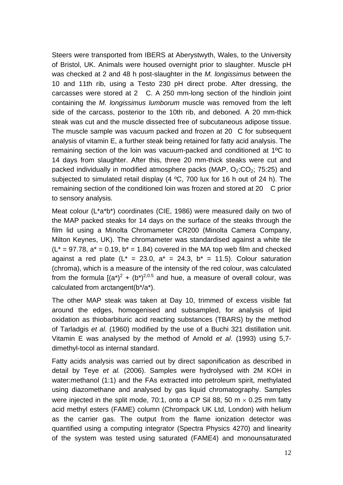Steers were transported from IBERS at Aberystwyth, Wales, to the University of Bristol, UK. Animals were housed overnight prior to slaughter. Muscle pH was checked at 2 and 48 h post-slaughter in the *M. longissimus* between the 10 and 11th rib, using a Testo 230 pH direct probe. After dressing, the carcasses were stored at 2 C. A 250 mm-long section of the hindloin joint containing the *M. longissimus lumborum* muscle was removed from the left side of the carcass, posterior to the 10th rib, and deboned. A 20 mm-thick steak was cut and the muscle dissected free of subcutaneous adipose tissue. The muscle sample was vacuum packed and frozen at 20 C for subsequent analysis of vitamin E, a further steak being retained for fatty acid analysis. The remaining section of the loin was vacuum-packed and conditioned at 1ºC to 14 days from slaughter. After this, three 20 mm-thick steaks were cut and packed individually in modified atmosphere packs (MAP,  $O<sub>2</sub>:CO<sub>2</sub>: 75:25$ ) and subjected to simulated retail display (4 ºC, 700 lux for 16 h out of 24 h). The remaining section of the conditioned loin was frozen and stored at 20 C prior to sensory analysis.

Meat colour (L\*a\*b\*) coordinates (CIE, 1986) were measured daily on two of the MAP packed steaks for 14 days on the surface of the steaks through the film lid using a Minolta Chromameter CR200 (Minolta Camera Company, Milton Keynes, UK). The chromameter was standardised against a white tile  $(L^* = 97.78$ ,  $a^* = 0.19$ ,  $b^* = 1.84$ ) covered in the MA top web film and checked against a red plate  $(L^* = 23.0, a^* = 24.3, b^* = 11.5)$ . Colour saturation (chroma), which is a measure of the intensity of the red colour, was calculated from the formula  $[(a^*)^2 + (b^*)^{2,0.5}$  and hue, a measure of overall colour, was calculated from arctangent(b\*/a\*).

The other MAP steak was taken at Day 10, trimmed of excess visible fat around the edges, homogenised and subsampled, for analysis of lipid oxidation as thiobarbituric acid reacting substances (TBARS) by the method of Tarladgis *et al*. (1960) modified by the use of a Buchi 321 distillation unit. Vitamin E was analysed by the method of Arnold *et al*. (1993) using 5,7 dimethyl-tocol as internal standard.

Fatty acids analysis was carried out by direct saponification as described in detail by Teye *et al.* (2006). Samples were hydrolysed with 2M KOH in water:methanol (1:1) and the FAs extracted into petroleum spirit, methylated using diazomethane and analysed by gas liquid chromatography. Samples were injected in the split mode, 70:1, onto a CP Sil 88, 50 m  $\times$  0.25 mm fatty acid methyl esters (FAME) column (Chrompack UK Ltd, London) with helium as the carrier gas. The output from the flame ionization detector was quantified using a computing integrator (Spectra Physics 4270) and linearity of the system was tested using saturated (FAME4) and monounsaturated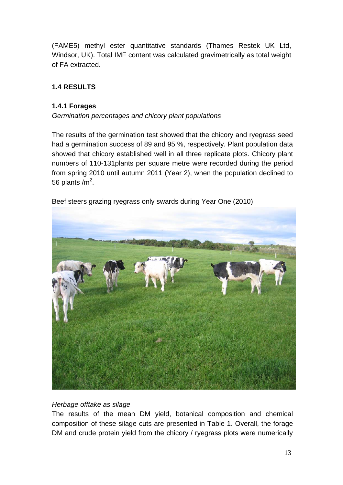(FAME5) methyl ester quantitative standards (Thames Restek UK Ltd, Windsor, UK). Total IMF content was calculated gravimetrically as total weight of FA extracted.

## **1.4 RESULTS**

#### **1.4.1 Forages**

*Germination percentages and chicory plant populations* 

The results of the germination test showed that the chicory and ryegrass seed had a germination success of 89 and 95 %, respectively. Plant population data showed that chicory established well in all three replicate plots. Chicory plant numbers of 110-131plants per square metre were recorded during the period from spring 2010 until autumn 2011 (Year 2), when the population declined to 56 plants /m<sup>2</sup>.



Beef steers grazing ryegrass only swards during Year One (2010)

#### *Herbage offtake as silage*

The results of the mean DM yield, botanical composition and chemical composition of these silage cuts are presented in Table 1. Overall, the forage DM and crude protein yield from the chicory / ryegrass plots were numerically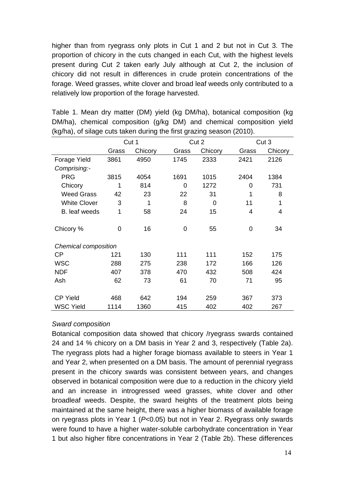higher than from ryegrass only plots in Cut 1 and 2 but not in Cut 3. The proportion of chicory in the cuts changed in each Cut, with the highest levels present during Cut 2 taken early July although at Cut 2, the inclusion of chicory did not result in differences in crude protein concentrations of the forage. Weed grasses, white clover and broad leaf weeds only contributed to a relatively low proportion of the forage harvested.

| $(1.9110)$ , or onago<br>$\frac{1}{2}$ and $\frac{1}{2}$ and $\frac{1}{2}$ and $\frac{1}{2}$ and $\frac{1}{2}$ and $\frac{1}{2}$ and $\frac{1}{2}$ and $\frac{1}{2}$ and $\frac{1}{2}$ and $\frac{1}{2}$ and $\frac{1}{2}$ and $\frac{1}{2}$ and $\frac{1}{2}$ and $\frac{1}{2}$ and $\frac{1}{2}$ and $\frac{1}{2}$ a |                |         |                |             |                |                |
|------------------------------------------------------------------------------------------------------------------------------------------------------------------------------------------------------------------------------------------------------------------------------------------------------------------------|----------------|---------|----------------|-------------|----------------|----------------|
|                                                                                                                                                                                                                                                                                                                        |                | Cut 1   |                | Cut 2       |                | Cut 3          |
|                                                                                                                                                                                                                                                                                                                        | Grass          | Chicory | Grass          | Chicory     | Grass          | Chicory        |
| Forage Yield                                                                                                                                                                                                                                                                                                           | 3861           | 4950    | 1745           | 2333        | 2421           | 2126           |
| Comprising:-                                                                                                                                                                                                                                                                                                           |                |         |                |             |                |                |
| <b>PRG</b>                                                                                                                                                                                                                                                                                                             | 3815           | 4054    | 1691           | 1015        | 2404           | 1384           |
| Chicory                                                                                                                                                                                                                                                                                                                | 1              | 814     | 0              | 1272        | 0              | 731            |
| <b>Weed Grass</b>                                                                                                                                                                                                                                                                                                      | 42             | 23      | 22             | 31          |                | 8              |
| <b>White Clover</b>                                                                                                                                                                                                                                                                                                    | 3              | 1       | 8              | $\mathbf 0$ | 11             | 1              |
| B. leaf weeds                                                                                                                                                                                                                                                                                                          | $\mathbf 1$    | 58      | 24             | 15          | $\overline{4}$ | $\overline{4}$ |
| Chicory %                                                                                                                                                                                                                                                                                                              | $\overline{0}$ | 16      | $\overline{0}$ | 55          | $\overline{0}$ | 34             |
| Chemical composition                                                                                                                                                                                                                                                                                                   |                |         |                |             |                |                |
| СP                                                                                                                                                                                                                                                                                                                     | 121            | 130     | 111            | 111         | 152            | 175            |
| <b>WSC</b>                                                                                                                                                                                                                                                                                                             | 288            | 275     | 238            | 172         | 166            | 126            |
| <b>NDF</b>                                                                                                                                                                                                                                                                                                             | 407            | 378     | 470            | 432         | 508            | 424            |
| Ash                                                                                                                                                                                                                                                                                                                    | 62             | 73      | 61             | 70          | 71             | 95             |
| <b>CP Yield</b>                                                                                                                                                                                                                                                                                                        | 468            | 642     | 194            | 259         | 367            | 373            |
| <b>WSC Yield</b>                                                                                                                                                                                                                                                                                                       | 1114           | 1360    | 415            | 402         | 402            | 267            |

Table 1. Mean dry matter (DM) yield (kg DM/ha), botanical composition (kg DM/ha), chemical composition (g/kg DM) and chemical composition yield  $(kq/ha)$ , of silage cuts taken during the first grazing season (2010).

#### *Sward composition*

Botanical composition data showed that chicory /ryegrass swards contained 24 and 14 % chicory on a DM basis in Year 2 and 3, respectively (Table 2a). The ryegrass plots had a higher forage biomass available to steers in Year 1 and Year 2, when presented on a DM basis. The amount of perennial ryegrass present in the chicory swards was consistent between years, and changes observed in botanical composition were due to a reduction in the chicory yield and an increase in introgressed weed grasses, white clover and other broadleaf weeds. Despite, the sward heights of the treatment plots being maintained at the same height, there was a higher biomass of available forage on ryegrass plots in Year 1 (*P<*0.05) but not in Year 2. Ryegrass only swards were found to have a higher water-soluble carbohydrate concentration in Year 1 but also higher fibre concentrations in Year 2 (Table 2b). These differences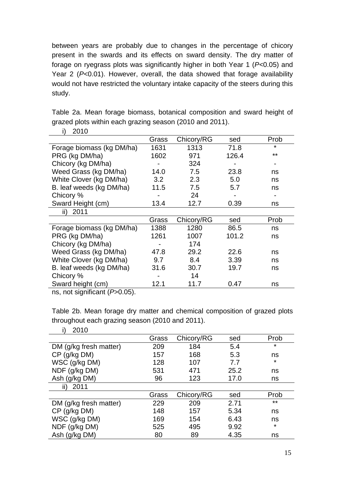between years are probably due to changes in the percentage of chicory present in the swards and its effects on sward density. The dry matter of forage on ryegrass plots was significantly higher in both Year 1 (*P<*0.05) and Year 2 (*P<*0.01). However, overall, the data showed that forage availability would not have restricted the voluntary intake capacity of the steers during this study.

| 2010<br>i)                                                        |       |            |       |       |
|-------------------------------------------------------------------|-------|------------|-------|-------|
|                                                                   | Grass | Chicory/RG | sed   | Prob  |
| Forage biomass (kg DM/ha)                                         | 1631  | 1313       | 71.8  | ¥     |
| PRG (kg DM/ha)                                                    | 1602  | 971        | 126.4 | $***$ |
| Chicory (kg DM/ha)                                                |       | 324        |       |       |
| Weed Grass (kg DM/ha)                                             | 14.0  | 7.5        | 23.8  | ns    |
| White Clover (kg DM/ha)                                           | 3.2   | 2.3        | 5.0   | ns    |
| B. leaf weeds (kg DM/ha)                                          | 11.5  | 7.5        | 5.7   | ns    |
| Chicory %                                                         |       | 24         |       |       |
| Sward Height (cm)                                                 | 13.4  | 12.7       | 0.39  | ns    |
| 2011<br>$\mathsf{ii}$                                             |       |            |       |       |
|                                                                   | Grass | Chicory/RG | sed   | Prob  |
| Forage biomass (kg DM/ha)                                         | 1388  | 1280       | 86.5  | ns    |
| PRG (kg DM/ha)                                                    | 1261  | 1007       | 101.2 | ns    |
| Chicory (kg DM/ha)                                                |       | 174        |       |       |
| Weed Grass (kg DM/ha)                                             | 47.8  | 29.2       | 22.6  | ns    |
| White Clover (kg DM/ha)                                           | 9.7   | 8.4        | 3.39  | ns    |
| B. leaf weeds (kg DM/ha)                                          | 31.6  | 30.7       | 19.7  | ns    |
| Chicory %                                                         |       | 14         |       |       |
| Sward height (cm)<br>$\cdot$ $\cdot$ $\sim$ $\sim$ $\sim$ $\cdot$ | 12.1  | 11.7       | 0.47  | ns    |

Table 2a. Mean forage biomass, botanical composition and sward height of grazed plots within each grazing season (2010 and 2011).

ns, not significant (*P*>0.05).

Table 2b. Mean forage dry matter and chemical composition of grazed plots throughout each grazing season (2010 and 2011).

| 2010                   |       |            |      |         |
|------------------------|-------|------------|------|---------|
|                        | Grass | Chicory/RG | sed  | Prob    |
| DM (g/kg fresh matter) | 209   | 184        | 5.4  | $\star$ |
| CP (g/kg DM)           | 157   | 168        | 5.3  | ns      |
| WSC (g/kg DM)          | 128   | 107        | 7.7  | $\ast$  |
| NDF (g/kg DM)          | 531   | 471        | 25.2 | ns      |
| Ash (g/kg DM)          | 96    | 123        | 17.0 | ns      |
| 2011<br>$\parallel$    |       |            |      |         |
|                        | Grass | Chicory/RG | sed  | Prob    |
| DM (g/kg fresh matter) | 229   | 209        | 2.71 | $***$   |
| CP (g/kg DM)           | 148   | 157        | 5.34 | ns      |
| WSC (g/kg DM)          | 169   | 154        | 6.43 | ns      |
| NDF (g/kg DM)          | 525   | 495        | 9.92 | $\ast$  |
| Ash (g/kg DM)          | 80    | 89         | 4.35 | ns      |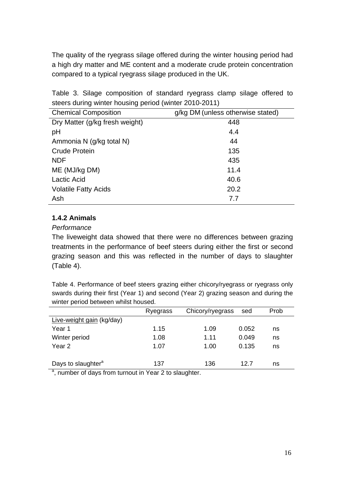The quality of the ryegrass silage offered during the winter housing period had a high dry matter and ME content and a moderate crude protein concentration compared to a typical ryegrass silage produced in the UK.

Table 3. Silage composition of standard ryegrass clamp silage offered to steers during winter housing period (winter 2010-2011)

| <b>Chemical Composition</b>    | g/kg DM (unless otherwise stated) |
|--------------------------------|-----------------------------------|
| Dry Matter (g/kg fresh weight) | 448                               |
| pH                             | 4.4                               |
| Ammonia N (g/kg total N)       | 44                                |
| <b>Crude Protein</b>           | 135                               |
| <b>NDF</b>                     | 435                               |
| ME (MJ/kg DM)                  | 11.4                              |
| <b>Lactic Acid</b>             | 40.6                              |
| <b>Volatile Fatty Acids</b>    | 20.2                              |
| Ash                            | 7.7                               |

## **1.4.2 Animals**

#### *Performance*

The liveweight data showed that there were no differences between grazing treatments in the performance of beef steers during either the first or second grazing season and this was reflected in the number of days to slaughter (Table 4).

Table 4. Performance of beef steers grazing either chicory/ryegrass or ryegrass only swards during their first (Year 1) and second (Year 2) grazing season and during the winter period between whilst housed.

|                                                                    | Ryegrass | Chicory/ryegrass | sed   | Prob |
|--------------------------------------------------------------------|----------|------------------|-------|------|
| Live-weight gain (kg/day)                                          |          |                  |       |      |
| Year 1                                                             | 1.15     | 1.09             | 0.052 | ns   |
| Winter period                                                      | 1.08     | 1.11             | 0.049 | ns   |
| Year 2                                                             | 1.07     | 1.00             | 0.135 | ns   |
|                                                                    |          |                  |       |      |
| Days to slaughter <sup>a</sup>                                     | 137      | 136              | 12.7  | ns   |
| <sup>a</sup> , number of days from turnout in Year 2 to slaughter. |          |                  |       |      |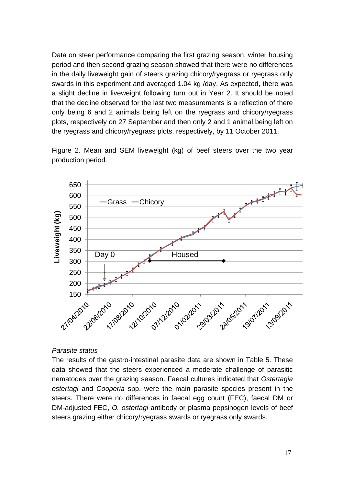Data on steer performance comparing the first grazing season, winter housing period and then second grazing season showed that there were no differences in the daily liveweight gain of steers grazing chicory/ryegrass or ryegrass only swards in this experiment and averaged 1.04 kg /day. As expected, there was a slight decline in liveweight following turn out in Year 2. It should be noted that the decline observed for the last two measurements is a reflection of there only being 6 and 2 animals being left on the ryegrass and chicory/ryegrass plots, respectively on 27 September and then only 2 and 1 animal being left on the ryegrass and chicory/ryegrass plots, respectively, by 11 October 2011.

650 A March 19 600 Grass - Chicorv 550 iveweight (kg) **Liveweight (kg)** 500 450 400 350 Day 0  $\sqrt{x}$  Housed 300 250 200 77/04/2010 17/08/2010 12/10/2010 1/02/2011 12/10/10/11/2011 12/11/2010

Figure 2. Mean and SEM liveweight (kg) of beef steers over the two year production period.

#### *Parasite status*

The results of the gastro-intestinal parasite data are shown in Table 5. These data showed that the steers experienced a moderate challenge of parasitic nematodes over the grazing season. Faecal cultures indicated that *Ostertagia ostertagi* and *Cooperia* spp. were the main parasite species present in the steers. There were no differences in faecal egg count (FEC), faecal DM or DM-adjusted FEC, *O. ostertagi* antibody or plasma pepsinogen levels of beef steers grazing either chicory/ryegrass swards or ryegrass only swards.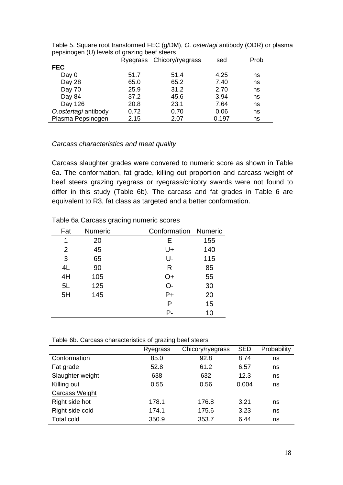| $\cdot$ $\cdot$ |      |                           |      |
|-----------------|------|---------------------------|------|
|                 |      | sed                       | Prob |
|                 |      |                           |      |
| 51.7            | 51.4 | 4.25                      | ns   |
| 65.0            | 65.2 | 7.40                      | ns   |
| 25.9            | 31.2 | 2.70                      | ns   |
| 37.2            | 45.6 | 3.94                      | ns   |
| 20.8            | 23.1 | 7.64                      | ns   |
| 0.72            | 0.70 | 0.06                      | ns   |
| 2.15            | 2.07 | 0.197                     | ns   |
|                 |      | Ryegrass Chicory/ryegrass |      |

Table 5. Square root transformed FEC (g/DM), *O. ostertagi* antibody (ODR) or plasma pepsinogen (U) levels of grazing beef steers

#### *Carcass characteristics and meat quality*

Carcass slaughter grades were convered to numeric score as shown in Table 6a. The conformation, fat grade, killing out proportion and carcass weight of beef steers grazing ryegrass or ryegrass/chicory swards were not found to differ in this study (Table 6b). The carcass and fat grades in Table 6 are equivalent to R3, fat class as targeted and a better conformation.

|     | ັ       | ັ |                      |     |
|-----|---------|---|----------------------|-----|
| Fat | Numeric |   | Conformation Numeric |     |
| 1   | 20      |   | Е                    | 155 |
| 2   | 45      |   | U+                   | 140 |
| 3   | 65      |   | U-                   | 115 |
| 4L  | 90      |   | R                    | 85  |
| 4H  | 105     |   | O+                   | 55  |
| 5L  | 125     |   | $O-$                 | 30  |
| 5H  | 145     |   | $P+$                 | 20  |
|     |         |   | P                    | 15  |
|     |         |   | P-                   | 10  |
|     |         |   |                      |     |

Table 6a Carcass grading numeric scores

Table 6b. Carcass characteristics of grazing beef steers

|                       | Ryegrass | Chicory/ryegrass | <b>SED</b> | Probability |
|-----------------------|----------|------------------|------------|-------------|
| Conformation          | 85.0     | 92.8             | 8.74       | ns          |
| Fat grade             | 52.8     | 61.2             | 6.57       | ns          |
| Slaughter weight      | 638      | 632              | 12.3       | ns          |
| Killing out           | 0.55     | 0.56             | 0.004      | ns          |
| <b>Carcass Weight</b> |          |                  |            |             |
| Right side hot        | 178.1    | 176.8            | 3.21       | ns          |
| Right side cold       | 174.1    | 175.6            | 3.23       | ns          |
| <b>Total cold</b>     | 350.9    | 353.7            | 6.44       | ns          |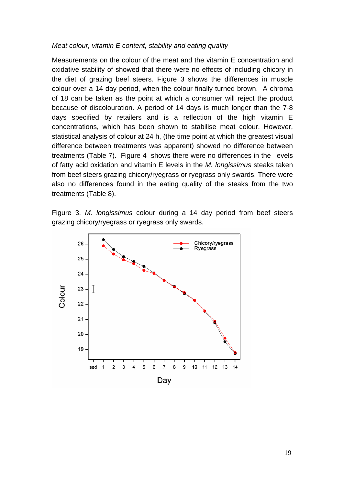#### *Meat colour, vitamin E content, stability and eating quality*

Measurements on the colour of the meat and the vitamin E concentration and oxidative stability of showed that there were no effects of including chicory in the diet of grazing beef steers. Figure 3 shows the differences in muscle colour over a 14 day period, when the colour finally turned brown. A chroma of 18 can be taken as the point at which a consumer will reject the product because of discolouration. A period of 14 days is much longer than the 7-8 days specified by retailers and is a reflection of the high vitamin E concentrations, which has been shown to stabilise meat colour. However, statistical analysis of colour at 24 h, (the time point at which the greatest visual difference between treatments was apparent) showed no difference between treatments (Table 7). Figure 4 shows there were no differences in the levels of fatty acid oxidation and vitamin E levels in the *M. longissimus* steaks taken from beef steers grazing chicory/ryegrass or ryegrass only swards. There were also no differences found in the eating quality of the steaks from the two treatments (Table 8).

Figure 3. *M. longissimus* colour during a 14 day period from beef steers grazing chicory/ryegrass or ryegrass only swards.

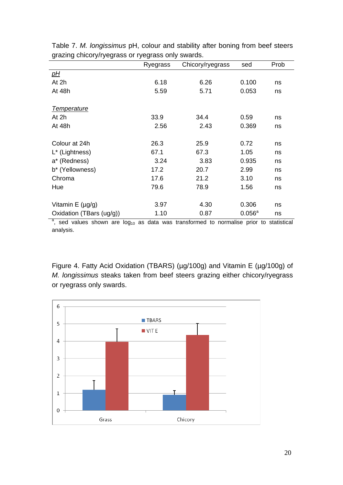|                                                                                                 | Ryegrass | Chicory/ryegrass | sed                | Prob |
|-------------------------------------------------------------------------------------------------|----------|------------------|--------------------|------|
| <u>pH</u>                                                                                       |          |                  |                    |      |
| At 2h                                                                                           | 6.18     | 6.26             | 0.100              | ns   |
| At 48h                                                                                          | 5.59     | 5.71             | 0.053              | ns   |
|                                                                                                 |          |                  |                    |      |
| <b>Temperature</b>                                                                              |          |                  |                    |      |
| At 2h                                                                                           | 33.9     | 34.4             | 0.59               | ns   |
| At 48h                                                                                          | 2.56     | 2.43             | 0.369              | ns   |
|                                                                                                 |          |                  |                    |      |
| Colour at 24h                                                                                   | 26.3     | 25.9             | 0.72               | ns   |
| L* (Lightness)                                                                                  | 67.1     | 67.3             | 1.05               | ns   |
| a* (Redness)                                                                                    | 3.24     | 3.83             | 0.935              | ns   |
| b* (Yellowness)                                                                                 | 17.2     | 20.7             | 2.99               | ns   |
| Chroma                                                                                          | 17.6     | 21.2             | 3.10               | ns   |
| Hue                                                                                             | 79.6     | 78.9             | 1.56               | ns   |
|                                                                                                 |          |                  |                    |      |
| Vitamin $E(\mu g/g)$                                                                            | 3.97     | 4.30             | 0.306              | ns   |
| Oxidation (TBars (ug/g))                                                                        | 1.10     | 0.87             | $0.056^{\text{a}}$ | ns   |
| $a$ , sed values shown are $log_{10}$ as data was transformed to normalise prior to statistical |          |                  |                    |      |

Table 7. *M. longissimus* pH, colour and stability after boning from beef steers grazing chicory/ryegrass or ryegrass only swards.

analysis.

Figure 4. Fatty Acid Oxidation (TBARS) (µg/100g) and Vitamin E (µg/100g) of *M. longissimus* steaks taken from beef steers grazing either chicory/ryegrass or ryegrass only swards.

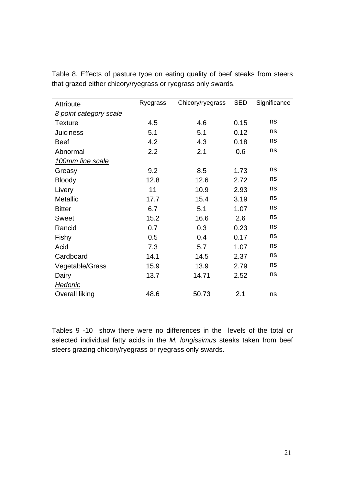| <b>Attribute</b>       | Ryegrass | Chicory/ryegrass | <b>SED</b> | Significance |
|------------------------|----------|------------------|------------|--------------|
| 8 point category scale |          |                  |            |              |
| <b>Texture</b>         | 4.5      | 4.6              | 0.15       | ns           |
| <b>Juiciness</b>       | 5.1      | 5.1              | 0.12       | ns           |
| <b>Beef</b>            | 4.2      | 4.3              | 0.18       | ns           |
| Abnormal               | 2.2      | 2.1              | 0.6        | ns           |
| 100mm line scale       |          |                  |            |              |
| Greasy                 | 9.2      | 8.5              | 1.73       | ns           |
| <b>Bloody</b>          | 12.8     | 12.6             | 2.72       | ns           |
| Livery                 | 11       | 10.9             | 2.93       | ns           |
| <b>Metallic</b>        | 17.7     | 15.4             | 3.19       | ns           |
| <b>Bitter</b>          | 6.7      | 5.1              | 1.07       | ns           |
| <b>Sweet</b>           | 15.2     | 16.6             | 2.6        | ns           |
| Rancid                 | 0.7      | 0.3              | 0.23       | ns           |
| Fishy                  | 0.5      | 0.4              | 0.17       | ns           |
| Acid                   | 7.3      | 5.7              | 1.07       | ns           |
| Cardboard              | 14.1     | 14.5             | 2.37       | ns           |
| Vegetable/Grass        | 15.9     | 13.9             | 2.79       | ns           |
| Dairy                  | 13.7     | 14.71            | 2.52       | ns           |
| <u>Hedonic</u>         |          |                  |            |              |
| <b>Overall liking</b>  | 48.6     | 50.73            | 2.1        | ns           |

Table 8. Effects of pasture type on eating quality of beef steaks from steers that grazed either chicory/ryegrass or ryegrass only swards.

Tables 9 -10 show there were no differences in the levels of the total or selected individual fatty acids in the *M. longissimus* steaks taken from beef steers grazing chicory/ryegrass or ryegrass only swards.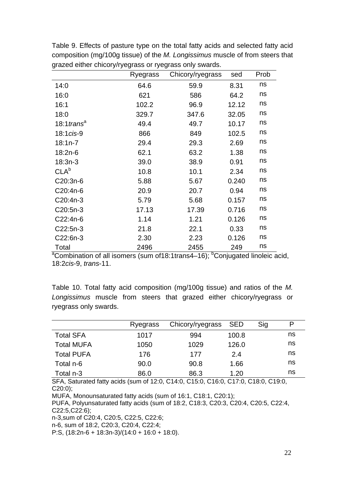|                                                                                                                | Ryegrass | Chicory/ryegrass | sed   | Prob |
|----------------------------------------------------------------------------------------------------------------|----------|------------------|-------|------|
| 14:0                                                                                                           | 64.6     | 59.9             | 8.31  | ns   |
| 16:0                                                                                                           | 621      | 586              | 64.2  | ns   |
| 16:1                                                                                                           | 102.2    | 96.9             | 12.12 | ns   |
| 18:0                                                                                                           | 329.7    | 347.6            | 32.05 | ns   |
| 18:1 trans <sup>a</sup>                                                                                        | 49.4     | 49.7             | 10.17 | ns   |
| 18:1 cis-9                                                                                                     | 866      | 849              | 102.5 | ns   |
| $18:1n-7$                                                                                                      | 29.4     | 29.3             | 2.69  | ns   |
| $18:2n-6$                                                                                                      | 62.1     | 63.2             | 1.38  | ns   |
| $18:3n-3$                                                                                                      | 39.0     | 38.9             | 0.91  | ns   |
| CLA <sup>b</sup>                                                                                               | 10.8     | 10.1             | 2.34  | ns   |
| C20:3n-6                                                                                                       | 5.88     | 5.67             | 0.240 | ns   |
| C20:4n-6                                                                                                       | 20.9     | 20.7             | 0.94  | ns   |
| C20:4n-3                                                                                                       | 5.79     | 5.68             | 0.157 | ns   |
| C20:5n-3                                                                                                       | 17.13    | 17.39            | 0.716 | ns   |
| C22:4n-6                                                                                                       | 1.14     | 1.21             | 0.126 | ns   |
| $C22:5n-3$                                                                                                     | 21.8     | 22.1             | 0.33  | ns   |
| C22:6n-3                                                                                                       | 2.30     | 2.23             | 0.126 | ns   |
| Total<br><sup>a</sup> Combination of all isomers (sum of18:1trans4-16); <sup>b</sup> Conjugated linoleic acid, | 2496     | 2455             | 249   | ns   |

Table 9. Effects of pasture type on the total fatty acids and selected fatty acid composition (mg/100g tissue) of the *M. Longissimus* muscle of from steers that grazed either chicory/ryegrass or ryegrass only swards.

18:2*cis*-9, *trans*-11.

Table 10. Total fatty acid composition (mg/100g tissue) and ratios of the *M. Longissimus* muscle from steers that grazed either chicory/ryegrass or ryegrass only swards.

|                   | Ryegrass | Chicory/ryegrass SED |       | Sig | P  |
|-------------------|----------|----------------------|-------|-----|----|
| <b>Total SFA</b>  | 1017     | 994                  | 100.8 |     | ns |
| <b>Total MUFA</b> | 1050     | 1029                 | 126.0 |     | ns |
| <b>Total PUFA</b> | 176      | 177                  | 2.4   |     | ns |
| Total n-6         | 90.0     | 90.8                 | 1.66  |     | ns |
| Total n-3         | 86.0     | 86.3                 | 1.20  |     | ns |

SFA, Saturated fatty acids (sum of 12:0, C14:0, C15:0, C16:0, C17:0, C18:0, C19:0, C20:0);

MUFA, Monounsaturated fatty acids (sum of 16:1, C18:1, C20:1);

PUFA, Polyunsaturated fatty acids (sum of 18:2, C18:3, C20:3, C20:4, C20:5, C22:4, C22:5,C22:6);

n-3,sum of C20:4, C20:5, C22:5, C22:6;

n-6, sum of 18:2, C20:3, C20:4, C22:4;

P:S, (18:2n-6 + 18:3n-3)/(14:0 + 16:0 + 18:0).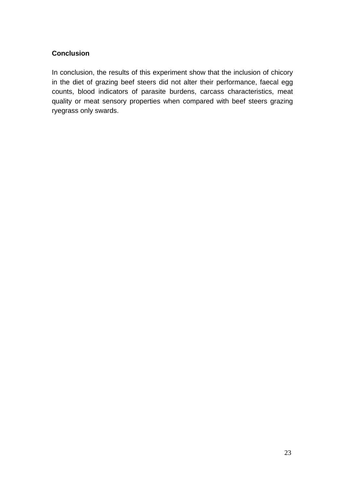#### **Conclusion**

In conclusion, the results of this experiment show that the inclusion of chicory in the diet of grazing beef steers did not alter their performance, faecal egg counts, blood indicators of parasite burdens, carcass characteristics, meat quality or meat sensory properties when compared with beef steers grazing ryegrass only swards.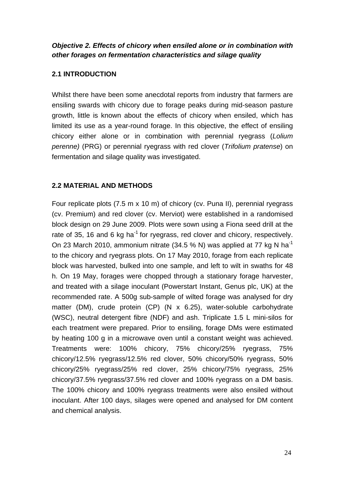## *Objective 2. Effects of chicory when ensiled alone or in combination with other forages on fermentation characteristics and silage quality*

### **2.1 INTRODUCTION**

Whilst there have been some anecdotal reports from industry that farmers are ensiling swards with chicory due to forage peaks during mid-season pasture growth, little is known about the effects of chicory when ensiled, which has limited its use as a year-round forage. In this objective, the effect of ensiling chicory either alone or in combination with perennial ryegrass (*Lolium perenne)* (PRG) or perennial ryegrass with red clover (*Trifolium pratense*) on fermentation and silage quality was investigated.

## **2.2 MATERIAL AND METHODS**

Four replicate plots (7.5 m x 10 m) of chicory (cv. Puna II), perennial ryegrass (cv. Premium) and red clover (cv. Merviot) were established in a randomised block design on 29 June 2009. Plots were sown using a Fiona seed drill at the rate of 35, 16 and 6 kg ha<sup>-1</sup> for ryegrass, red clover and chicory, respectively. On 23 March 2010, ammonium nitrate (34.5 % N) was applied at 77 kg N ha<sup>-1</sup> to the chicory and ryegrass plots. On 17 May 2010, forage from each replicate block was harvested, bulked into one sample, and left to wilt in swaths for 48 h. On 19 May, forages were chopped through a stationary forage harvester, and treated with a silage inoculant (Powerstart Instant, Genus plc, UK) at the recommended rate. A 500g sub-sample of wilted forage was analysed for dry matter (DM), crude protein (CP) (N x 6.25), water-soluble carbohydrate (WSC), neutral detergent fibre (NDF) and ash. Triplicate 1.5 L mini-silos for each treatment were prepared. Prior to ensiling, forage DMs were estimated by heating 100 g in a microwave oven until a constant weight was achieved. Treatments were: 100% chicory, 75% chicory/25% ryegrass, 75% chicory/12.5% ryegrass/12.5% red clover, 50% chicory/50% ryegrass, 50% chicory/25% ryegrass/25% red clover, 25% chicory/75% ryegrass, 25% chicory/37.5% ryegrass/37.5% red clover and 100% ryegrass on a DM basis. The 100% chicory and 100% ryegrass treatments were also ensiled without inoculant. After 100 days, silages were opened and analysed for DM content and chemical analysis.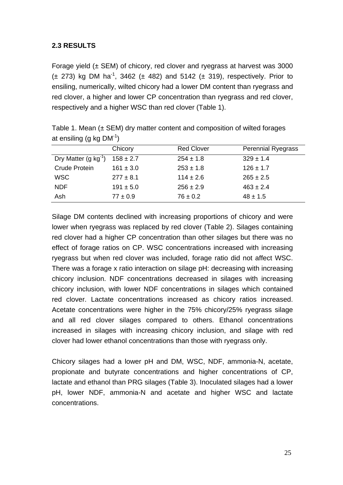## **2.3 RESULTS**

Forage yield  $(\pm$  SEM) of chicory, red clover and ryegrass at harvest was 3000  $(\pm 273)$  kg DM ha<sup>-1</sup>, 3462 ( $\pm$  482) and 5142 ( $\pm$  319), respectively. Prior to ensiling, numerically, wilted chicory had a lower DM content than ryegrass and red clover, a higher and lower CP concentration than ryegrass and red clover, respectively and a higher WSC than red clover (Table 1).

|                          | Chicory       | <b>Red Clover</b> | <b>Perennial Ryegrass</b> |
|--------------------------|---------------|-------------------|---------------------------|
| Dry Matter $(g kg^{-1})$ | $158 \pm 2.7$ | $254 \pm 1.8$     | $329 \pm 1.4$             |
| Crude Protein            | $161 \pm 3.0$ | $253 \pm 1.8$     | $126 \pm 1.7$             |
| <b>WSC</b>               | $277 \pm 8.1$ | $114 \pm 2.6$     | $265 \pm 2.5$             |
| <b>NDF</b>               | $191 \pm 5.0$ | $256 \pm 2.9$     | $463 \pm 2.4$             |
| Ash                      | $77 \pm 0.9$  | $76 \pm 0.2$      | $48 \pm 1.5$              |

Table 1. Mean  $(\pm$  SEM) dry matter content and composition of wilted forages at ensiling (g kg  $DM^{-1}$ )

Silage DM contents declined with increasing proportions of chicory and were lower when ryegrass was replaced by red clover (Table 2). Silages containing red clover had a higher CP concentration than other silages but there was no effect of forage ratios on CP. WSC concentrations increased with increasing ryegrass but when red clover was included, forage ratio did not affect WSC. There was a forage x ratio interaction on silage pH: decreasing with increasing chicory inclusion. NDF concentrations decreased in silages with increasing chicory inclusion, with lower NDF concentrations in silages which contained red clover. Lactate concentrations increased as chicory ratios increased. Acetate concentrations were higher in the 75% chicory/25% ryegrass silage and all red clover silages compared to others. Ethanol concentrations increased in silages with increasing chicory inclusion, and silage with red clover had lower ethanol concentrations than those with ryegrass only.

Chicory silages had a lower pH and DM, WSC, NDF, ammonia-N, acetate, propionate and butyrate concentrations and higher concentrations of CP, lactate and ethanol than PRG silages (Table 3). Inoculated silages had a lower pH, lower NDF, ammonia-N and acetate and higher WSC and lactate concentrations.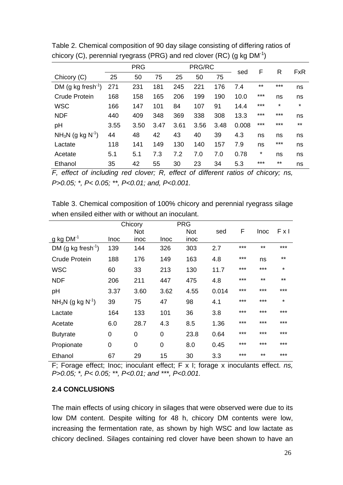|                                |      | <b>PRG</b> |      |      | PRG/RC |      |       | F     | R       | <b>FxR</b> |
|--------------------------------|------|------------|------|------|--------|------|-------|-------|---------|------------|
| Chicory (C)                    | 25   | 50         | 75   | 25   | 50     | 75   | sed   |       |         |            |
| DM (g kg fresh <sup>-1</sup> ) | 271  | 231        | 181  | 245  | 221    | 176  | 7.4   | $***$ | $***$   | ns         |
| <b>Crude Protein</b>           | 168  | 158        | 165  | 206  | 199    | 190  | 10.0  | ***   | ns      | ns         |
| <b>WSC</b>                     | 166  | 147        | 101  | 84   | 107    | 91   | 14.4  | $***$ | $\star$ | $\star$    |
| <b>NDF</b>                     | 440  | 409        | 348  | 369  | 338    | 308  | 13.3  | $***$ | $***$   | ns         |
| pH                             | 3.55 | 3.50       | 3.47 | 3.61 | 3.56   | 3.48 | 0.008 | $***$ | ***     | $***$      |
| $NH_3N$ (g kg $N^{-1}$ )       | 44   | 48         | 42   | 43   | 40     | 39   | 4.3   | ns    | ns      | ns         |
| Lactate                        | 118  | 141        | 149  | 130  | 140    | 157  | 7.9   | ns    | ***     | ns         |
| Acetate                        | 5.1  | 5.1        | 7.3  | 7.2  | 7.0    | 7.0  | 0.78  | *     | ns      | ns         |
| Ethanol                        | 35   | 42         | 55   | 30   | 23     | 34   | 5.3   | $***$ | $***$   | ns         |

Table 2. Chemical composition of 90 day silage consisting of differing ratios of chicory (C), perennial ryegrass (PRG) and red clover (RC) (g kg  $DM^{-1}$ )

*F, effect of including red clover; R, effect of different ratios of chicory; ns, P>0.05; \*, P< 0.05; \*\*, P<0.01; and, P<0.001.* 

Table 3. Chemical composition of 100% chicory and perennial ryegrass silage when ensiled either with or without an inoculant.

|                                |      | Chicory        |      | <b>PRG</b> |       |     |             |         |
|--------------------------------|------|----------------|------|------------|-------|-----|-------------|---------|
|                                |      | <b>Not</b>     |      | <b>Not</b> | sed   | F   | <b>Inoc</b> | FxI     |
| $g$ kg DM <sup>-1</sup>        | Inoc | inoc           | Inoc | inoc       |       |     |             |         |
| DM (g kg fresh <sup>-1</sup> ) | 139  | 144            | 326  | 303        | 2.7   | *** | $***$       | $***$   |
| <b>Crude Protein</b>           | 188  | 176            | 149  | 163        | 4.8   | *** | ns          | $***$   |
| <b>WSC</b>                     | 60   | 33             | 213  | 130        | 11.7  | *** | ***         | $\star$ |
| <b>NDF</b>                     | 206  | 211            | 447  | 475        | 4.8   | *** | $***$       | $***$   |
| pH                             | 3.37 | 3.60           | 3.62 | 4.55       | 0.014 | *** | ***         | $***$   |
| $NH3N$ (g kg N <sup>-1</sup> ) | 39   | 75             | 47   | 98         | 4.1   | *** | ***         | $\star$ |
| Lactate                        | 164  | 133            | 101  | 36         | 3.8   | *** | ***         | $***$   |
| Acetate                        | 6.0  | 28.7           | 4.3  | 8.5        | 1.36  | *** | ***         | ***     |
| <b>Butyrate</b>                | 0    | 0              | 0    | 23.8       | 0.64  | *** | ***         | $***$   |
| Propionate                     | 0    | $\overline{0}$ | 0    | 8.0        | 0.45  | *** | ***         | $***$   |
| Ethanol                        | 67   | 29             | 15   | 30         | 3.3   | *** | $***$       | $***$   |

F; Forage effect; Inoc; inoculant effect; F x I; forage x inoculants effect. *ns, P>0.05; \*, P< 0.05; \*\*, P<0.01; and \*\*\*, P<0.001.* 

## **2.4 CONCLUSIONS**

The main effects of using chicory in silages that were observed were due to its low DM content. Despite wilting for 48 h, chicory DM contents were low, increasing the fermentation rate, as shown by high WSC and low lactate as chicory declined. Silages containing red clover have been shown to have an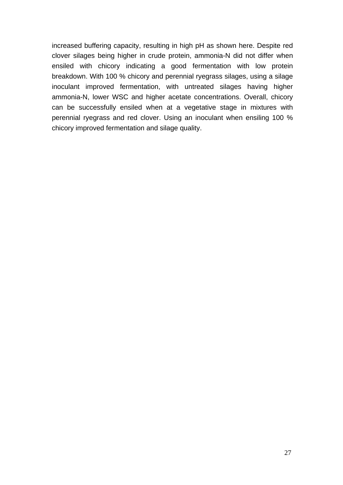increased buffering capacity, resulting in high pH as shown here. Despite red clover silages being higher in crude protein, ammonia-N did not differ when ensiled with chicory indicating a good fermentation with low protein breakdown. With 100 % chicory and perennial ryegrass silages, using a silage inoculant improved fermentation, with untreated silages having higher ammonia-N, lower WSC and higher acetate concentrations. Overall, chicory can be successfully ensiled when at a vegetative stage in mixtures with perennial ryegrass and red clover. Using an inoculant when ensiling 100 % chicory improved fermentation and silage quality.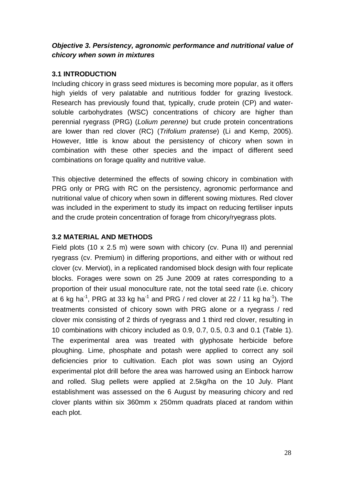## *Objective 3. Persistency, agronomic performance and nutritional value of chicory when sown in mixtures*

### **3.1 INTRODUCTION**

Including chicory in grass seed mixtures is becoming more popular, as it offers high yields of very palatable and nutritious fodder for grazing livestock. Research has previously found that, typically, crude protein (CP) and watersoluble carbohydrates (WSC) concentrations of chicory are higher than perennial ryegrass (PRG) (*Lolium perenne)* but crude protein concentrations are lower than red clover (RC) (*Trifolium pratense*) (Li and Kemp, 2005). However, little is know about the persistency of chicory when sown in combination with these other species and the impact of different seed combinations on forage quality and nutritive value.

This objective determined the effects of sowing chicory in combination with PRG only or PRG with RC on the persistency, agronomic performance and nutritional value of chicory when sown in different sowing mixtures. Red clover was included in the experiment to study its impact on reducing fertiliser inputs and the crude protein concentration of forage from chicory/ryegrass plots.

## **3.2 MATERIAL AND METHODS**

Field plots (10 x 2.5 m) were sown with chicory (cv. Puna II) and perennial ryegrass (cv. Premium) in differing proportions, and either with or without red clover (cv. Merviot), in a replicated randomised block design with four replicate blocks. Forages were sown on 25 June 2009 at rates corresponding to a proportion of their usual monoculture rate, not the total seed rate (i.e. chicory at 6 kg ha<sup>-1</sup>, PRG at 33 kg ha<sup>-1</sup> and PRG / red clover at 22 / 11 kg ha<sup>-1</sup>). The treatments consisted of chicory sown with PRG alone or a ryegrass / red clover mix consisting of 2 thirds of ryegrass and 1 third red clover, resulting in 10 combinations with chicory included as 0.9, 0.7, 0.5, 0.3 and 0.1 (Table 1). The experimental area was treated with glyphosate herbicide before ploughing. Lime, phosphate and potash were applied to correct any soil deficiencies prior to cultivation. Each plot was sown using an Oyjord experimental plot drill before the area was harrowed using an Einbock harrow and rolled. Slug pellets were applied at 2.5kg/ha on the 10 July. Plant establishment was assessed on the 6 August by measuring chicory and red clover plants within six 360mm x 250mm quadrats placed at random within each plot.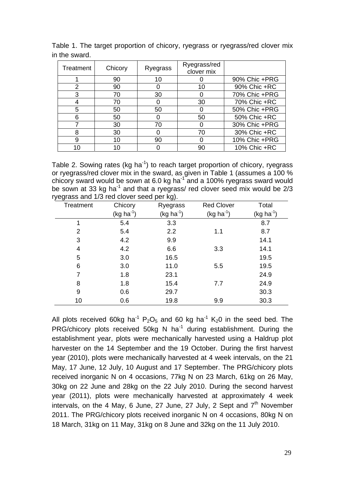| Treatment | Chicory | Ryegrass | Ryegrass/red<br>clover mix |               |
|-----------|---------|----------|----------------------------|---------------|
|           | 90      | 10       |                            | 90% Chic +PRG |
| 2         | 90      |          | 10                         | 90% Chic +RC  |
| 3         | 70      | 30       |                            | 70% Chic +PRG |
|           | 70      |          | 30                         | 70% Chic +RC  |
| 5         | 50      | 50       |                            | 50% Chic +PRG |
| 6         | 50      |          | 50                         | 50% Chic +RC  |
|           | 30      | 70       |                            | 30% Chic +PRG |
| 8         | 30      |          | 70                         | 30% Chic +RC  |
| 9         | 10      | 90       |                            | 10% Chic +PRG |
| 10        |         |          | 90                         | 10% Chic +RC  |

Table 1. The target proportion of chicory, ryegrass or ryegrass/red clover mix in the sward.

Table 2. Sowing rates (kg ha<sup>-1</sup>) to reach target proportion of chicory, ryegrass or ryegrass/red clover mix in the sward, as given in Table 1 (assumes a 100 % chicory sward would be sown at 6.0 kg ha<sup>-1</sup> and a 100% ryegrass sward would be sown at 33 kg ha<sup>-1</sup> and that a ryegrass/ red clover seed mix would be  $2/3$ ryegrass and 1/3 red clover seed per kg).

| ت ر<br>Treatment | Chicory        | ר ש<br>Ryegrass | <b>Red Clover</b> | Total       |
|------------------|----------------|-----------------|-------------------|-------------|
|                  | $(kg ha^{-1})$ | $(kg ha-1)$     | $(kg ha^{-1})$    | $(kg ha-1)$ |
|                  | 5.4            | 3.3             |                   | 8.7         |
| 2                | 5.4            | 2.2             | 1.1               | 8.7         |
| 3                | 4.2            | 9.9             |                   | 14.1        |
| 4                | 4.2            | 6.6             | 3.3               | 14.1        |
| 5                | 3.0            | 16.5            |                   | 19.5        |
| 6                | 3.0            | 11.0            | 5.5               | 19.5        |
| 7                | 1.8            | 23.1            |                   | 24.9        |
| 8                | 1.8            | 15.4            | 7.7               | 24.9        |
| 9                | 0.6            | 29.7            |                   | 30.3        |
| 10               | 0.6            | 19.8            | 9.9               | 30.3        |

All plots received 60kg ha<sup>-1</sup> P<sub>2</sub>O<sub>5</sub> and 60 kg ha<sup>-1</sup> K<sub>2</sub>0 in the seed bed. The PRG/chicory plots received 50kg N ha<sup>-1</sup> during establishment. During the establishment year, plots were mechanically harvested using a Haldrup plot harvester on the 14 September and the 19 October. During the first harvest year (2010), plots were mechanically harvested at 4 week intervals, on the 21 May, 17 June, 12 July, 10 August and 17 September. The PRG/chicory plots received inorganic N on 4 occasions, 77kg N on 23 March, 61kg on 26 May, 30kg on 22 June and 28kg on the 22 July 2010. During the second harvest year (2011), plots were mechanically harvested at approximately 4 week intervals, on the 4 May, 6 June, 27 June, 27 July, 2 Sept and  $7<sup>th</sup>$  November 2011. The PRG/chicory plots received inorganic N on 4 occasions, 80kg N on 18 March, 31kg on 11 May, 31kg on 8 June and 32kg on the 11 July 2010.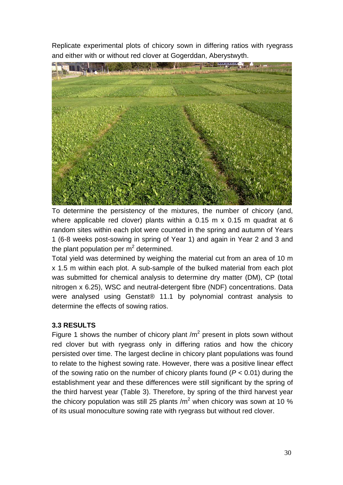Replicate experimental plots of chicory sown in differing ratios with ryegrass and either with or without red clover at Gogerddan, Aberystwyth.



To determine the persistency of the mixtures, the number of chicory (and, where applicable red clover) plants within a 0.15 m x 0.15 m quadrat at 6 random sites within each plot were counted in the spring and autumn of Years 1 (6-8 weeks post-sowing in spring of Year 1) and again in Year 2 and 3 and the plant population per  $m^2$  determined.

Total yield was determined by weighing the material cut from an area of 10 m x 1.5 m within each plot. A sub-sample of the bulked material from each plot was submitted for chemical analysis to determine dry matter (DM), CP (total nitrogen x 6.25), WSC and neutral-detergent fibre (NDF) concentrations. Data were analysed using Genstat® 11.1 by polynomial contrast analysis to determine the effects of sowing ratios.

## **3.3 RESULTS**

Figure 1 shows the number of chicory plant  $/m<sup>2</sup>$  present in plots sown without red clover but with ryegrass only in differing ratios and how the chicory persisted over time. The largest decline in chicory plant populations was found to relate to the highest sowing rate. However, there was a positive linear effect of the sowing ratio on the number of chicory plants found (*P <* 0.01) during the establishment year and these differences were still significant by the spring of the third harvest year (Table 3). Therefore, by spring of the third harvest year the chicory population was still 25 plants /m<sup>2</sup> when chicory was sown at 10 % of its usual monoculture sowing rate with ryegrass but without red clover.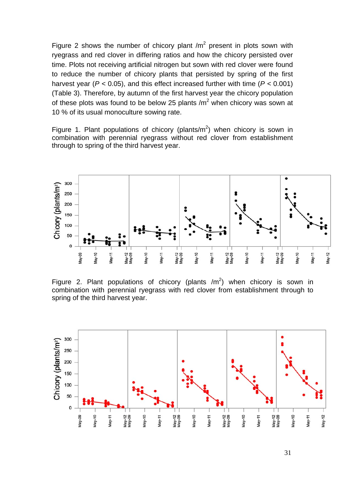Figure 2 shows the number of chicory plant  $/m^2$  present in plots sown with ryegrass and red clover in differing ratios and how the chicory persisted over time. Plots not receiving artificial nitrogen but sown with red clover were found to reduce the number of chicory plants that persisted by spring of the first harvest year (*P <* 0.05), and this effect increased further with time (*P <* 0.001) (Table 3). Therefore, by autumn of the first harvest year the chicory population of these plots was found to be below 25 plants / $m^2$  when chicory was sown at 10 % of its usual monoculture sowing rate.

Figure 1. Plant populations of chicory (plants/ $m^2$ ) when chicory is sown in combination with perennial ryegrass without red clover from establishment through to spring of the third harvest year.



Figure 2. Plant populations of chicory (plants  $/m<sup>2</sup>$ ) when chicory is sown in combination with perennial ryegrass with red clover from establishment through to spring of the third harvest year.

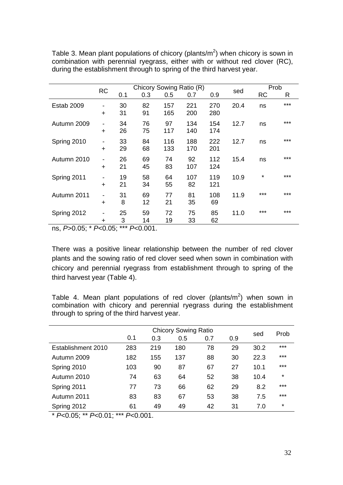|             |                                       |          | Chicory Sowing Ratio (R) |            |            |            |      | Prob      |       |
|-------------|---------------------------------------|----------|--------------------------|------------|------------|------------|------|-----------|-------|
|             | <b>RC</b>                             | 0.1      | 0.3                      | 0.5        | 0.7        | 0.9        | sed  | <b>RC</b> | R     |
| Estab 2009  | -<br>$\ddot{}$                        | 30<br>31 | 82<br>91                 | 157<br>165 | 221<br>200 | 270<br>280 | 20.4 | ns        | ***   |
| Autumn 2009 | $\overline{\phantom{a}}$<br>$\ddot{}$ | 34<br>26 | 76<br>75                 | 97<br>117  | 134<br>140 | 154<br>174 | 12.7 | ns        | $***$ |
| Spring 2010 | $\overline{\phantom{a}}$<br>$\ddot{}$ | 33<br>29 | 84<br>68                 | 116<br>133 | 188<br>170 | 222<br>201 | 12.7 | ns        | ***   |
| Autumn 2010 | -<br>÷                                | 26<br>21 | 69<br>45                 | 74<br>83   | 92<br>107  | 112<br>124 | 15.4 | ns        | ***   |
| Spring 2011 | $\ddot{}$                             | 19<br>21 | 58<br>34                 | 64<br>55   | 107<br>82  | 119<br>121 | 10.9 | *         | ***   |
| Autumn 2011 | $\overline{\phantom{a}}$<br>$\ddot{}$ | 31<br>8  | 69<br>12                 | 77<br>21   | 81<br>35   | 108<br>69  | 11.9 | ***       | ***   |
| Spring 2012 | -<br>÷                                | 25<br>3  | 59<br>14                 | 72<br>19   | 75<br>33   | 85<br>62   | 11.0 | ***       | ***   |

Table 3. Mean plant populations of chicory (plants/m<sup>2</sup>) when chicory is sown in combination with perennial ryegrass, either with or without red clover (RC), during the establishment through to spring of the third harvest year.

ns, *P*>0.05; \* *P*<0.05; \*\*\* *P*<0.001.

There was a positive linear relationship between the number of red clover plants and the sowing ratio of red clover seed when sown in combination with chicory and perennial ryegrass from establishment through to spring of the third harvest year (Table 4).

Table 4. Mean plant populations of red clover (plants/m<sup>2</sup>) when sown in combination with chicory and perennial ryegrass during the establishment through to spring of the third harvest year.

|                    |     | sed | Prob |     |     |      |         |
|--------------------|-----|-----|------|-----|-----|------|---------|
|                    | 0.1 | 0.3 | 0.5  | 0.7 | 0.9 |      |         |
| Establishment 2010 | 283 | 219 | 180  | 78  | 29  | 30.2 | $***$   |
| Autumn 2009        | 182 | 155 | 137  | 88  | 30  | 22.3 | $***$   |
| Spring 2010        | 103 | 90  | 87   | 67  | 27  | 10.1 | ***     |
| Autumn 2010        | 74  | 63  | 64   | 52  | 38  | 10.4 | $\star$ |
| Spring 2011        | 77  | 73  | 66   | 62  | 29  | 8.2  | $***$   |
| Autumn 2011        | 83  | 83  | 67   | 53  | 38  | 7.5  | $***$   |
| Spring 2012        | 61  | 49  | 49   | 42  | 31  | 7.0  | *       |
|                    |     |     |      |     |     |      |         |

\* *P*<0.05; \*\* *P*<0.01; \*\*\* *P*<0.001.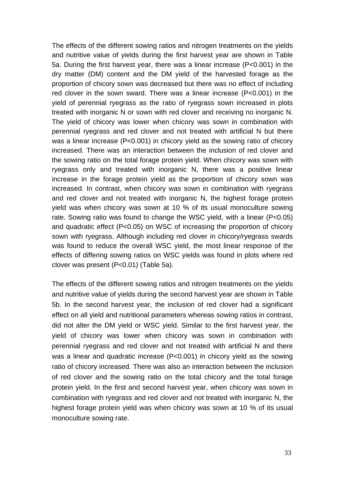The effects of the different sowing ratios and nitrogen treatments on the yields and nutritive value of yields during the first harvest year are shown in Table 5a. During the first harvest year, there was a linear increase (P<0.001) in the dry matter (DM) content and the DM yield of the harvested forage as the proportion of chicory sown was decreased but there was no effect of including red clover in the sown sward. There was a linear increase (P<0.001) in the yield of perennial ryegrass as the ratio of ryegrass sown increased in plots treated with inorganic N or sown with red clover and receiving no inorganic N. The yield of chicory was lower when chicory was sown in combination with perennial ryegrass and red clover and not treated with artificial N but there was a linear increase (P<0.001) in chicory yield as the sowing ratio of chicory increased. There was an interaction between the inclusion of red clover and the sowing ratio on the total forage protein yield. When chicory was sown with ryegrass only and treated with inorganic N, there was a positive linear increase in the forage protein yield as the proportion of chicory sown was increased. In contrast, when chicory was sown in combination with ryegrass and red clover and not treated with inorganic N, the highest forage protein yield was when chicory was sown at 10 % of its usual monoculture sowing rate. Sowing ratio was found to change the WSC yield, with a linear (P<0.05) and quadratic effect (P<0.05) on WSC of increasing the proportion of chicory sown with ryegrass. Although including red clover in chicory/ryegrass swards was found to reduce the overall WSC yield, the most linear response of the effects of differing sowing ratios on WSC yields was found in plots where red clover was present (P<0.01) (Table 5a).

The effects of the different sowing ratios and nitrogen treatments on the yields and nutritive value of yields during the second harvest year are shown in Table 5b. In the second harvest year, the inclusion of red clover had a significant effect on all yield and nutritional parameters whereas sowing ratios in contrast, did not alter the DM yield or WSC yield. Similar to the first harvest year, the yield of chicory was lower when chicory was sown in combination with perennial ryegrass and red clover and not treated with artificial N and there was a linear and quadratic increase (P<0.001) in chicory yield as the sowing ratio of chicory increased. There was also an interaction between the inclusion of red clover and the sowing ratio on the total chicory and the total forage protein yield. In the first and second harvest year, when chicory was sown in combination with ryegrass and red clover and not treated with inorganic N, the highest forage protein yield was when chicory was sown at 10 % of its usual monoculture sowing rate.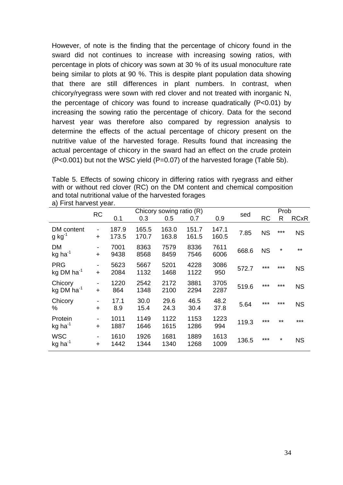However, of note is the finding that the percentage of chicory found in the sward did not continues to increase with increasing sowing ratios, with percentage in plots of chicory was sown at 30 % of its usual monoculture rate being similar to plots at 90 %. This is despite plant population data showing that there are still differences in plant numbers. In contrast, when chicory/ryegrass were sown with red clover and not treated with inorganic N, the percentage of chicory was found to increase quadratically (P<0.01) by increasing the sowing ratio the percentage of chicory. Data for the second harvest year was therefore also compared by regression analysis to determine the effects of the actual percentage of chicory present on the nutritive value of the harvested forage. Results found that increasing the actual percentage of chicory in the sward had an effect on the crude protein (P<0.001) but not the WSC yield (P=0.07) of the harvested forage (Table 5b).

Table 5. Effects of sowing chicory in differing ratios with ryegrass and either with or without red clover (RC) on the DM content and chemical composition and total nutritional value of the harvested forages a) First harvest year.

|                                     | <b>RC</b>      |                |                | Chicory sowing ratio (R) |                |                |       |           | Prob     |             |
|-------------------------------------|----------------|----------------|----------------|--------------------------|----------------|----------------|-------|-----------|----------|-------------|
|                                     |                | 0.1            | 0.3            | 0.5                      | 0.7            | 0.9            | sed   | <b>RC</b> | R        | <b>RCxR</b> |
| DM content<br>$g kg^{-1}$           | -<br>$\ddot{}$ | 187.9<br>173.5 | 165.5<br>170.7 | 163.0<br>163.8           | 151.7<br>161.5 | 147.1<br>160.5 | 7.85  | <b>NS</b> | $***$    | <b>NS</b>   |
| DM<br>$kg$ ha <sup>-1</sup>         | +              | 7001<br>9438   | 8363<br>8568   | 7579<br>8459             | 8336<br>7546   | 7611<br>6006   | 668.6 | <b>NS</b> | $\star$  | $***$       |
| <b>PRG</b><br>kg DM $ha^{-1}$       | $\ddot{}$      | 5623<br>2084   | 5667<br>1132   | 5201<br>1468             | 4228<br>1122   | 3086<br>950    | 572.7 | $***$     | $***$    | <b>NS</b>   |
| Chicory<br>kg DM ha $^{-1}$         | -<br>$\ddot{}$ | 1220<br>864    | 2542<br>1348   | 2172<br>2100             | 3881<br>2294   | 3705<br>2287   | 519.6 | ***       | $***$    | <b>NS</b>   |
| Chicory<br>%                        | +              | 17.1<br>8.9    | 30.0<br>15.4   | 29.6<br>24.3             | 46.5<br>30.4   | 48.2<br>37.8   | 5.64  | ***       | ***      | <b>NS</b>   |
| Protein<br>$kg$ ha <sup>-1</sup>    | $\ddot{}$      | 1011<br>1887   | 1149<br>1646   | 1122<br>1615             | 1153<br>1286   | 1223<br>994    | 119.3 | ***       | $***$    | ***         |
| <b>WSC</b><br>$kg$ ha <sup>-1</sup> | -<br>$\ddot{}$ | 1610<br>1442   | 1926<br>1344   | 1681<br>1340             | 1889<br>1268   | 1613<br>1009   | 136.5 | ***       | $^\star$ | <b>NS</b>   |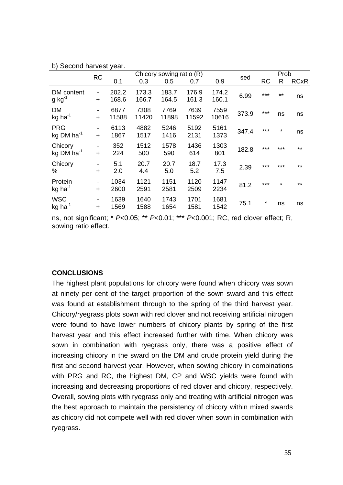|                                     |                | ,              |                | Chicory sowing ratio (R) |                |                |       |           | Prob     |             |
|-------------------------------------|----------------|----------------|----------------|--------------------------|----------------|----------------|-------|-----------|----------|-------------|
|                                     | <b>RC</b>      | 0.1            | 0.3            | 0.5                      | 0.7            | 0.9            | sed   | <b>RC</b> | R        | <b>RCxR</b> |
| DM content<br>$g kg^{-1}$           | -<br>$\ddot{}$ | 202.2<br>168.6 | 173.3<br>166.7 | 183.7<br>164.5           | 176.9<br>161.3 | 174.2<br>160.1 | 6.99  | ***       | $***$    | ns          |
| DM<br>$kg$ ha <sup>-1</sup>         | $\ddot{}$      | 6877<br>11588  | 7308<br>11420  | 7769<br>11898            | 7639<br>11592  | 7559<br>10616  | 373.9 | $***$     | ns       | ns          |
| <b>PRG</b><br>kg DM $ha^{-1}$       | -<br>$\ddot{}$ | 6113<br>1867   | 4882<br>1517   | 5246<br>1416             | 5192<br>2131   | 5161<br>1373   | 347.4 | $***$     | $^\star$ | ns          |
| Chicory<br>kg DM $ha^{-1}$          | -<br>$\ddot{}$ | 352<br>224     | 1512<br>500    | 1578<br>590              | 1436<br>614    | 1303<br>801    | 182.8 | $***$     | ***      | $***$       |
| Chicory<br>%                        | $\ddot{}$      | 5.1<br>2.0     | 20.7<br>4.4    | 20.7<br>5.0              | 18.7<br>5.2    | 17.3<br>7.5    | 2.39  | $***$     | $***$    | $***$       |
| Protein<br>$kg$ ha <sup>-1</sup>    | -<br>$\ddot{}$ | 1034<br>2600   | 1121<br>2591   | 1151<br>2581             | 1120<br>2509   | 1147<br>2234   | 81.2  | $***$     | $\star$  | $***$       |
| <b>WSC</b><br>$kg$ ha <sup>-1</sup> | $\ddot{}$      | 1639<br>1569   | 1640<br>1588   | 1743<br>1654             | 1701<br>1581   | 1681<br>1542   | 75.1  | $\star$   | ns       | ns          |

b) Second harvest year.

ns, not significant; \* *P*<0.05; \*\* *P*<0.01; \*\*\* *P*<0.001; RC, red clover effect; R, sowing ratio effect.

### **CONCLUSIONS**

The highest plant populations for chicory were found when chicory was sown at ninety per cent of the target proportion of the sown sward and this effect was found at establishment through to the spring of the third harvest year. Chicory/ryegrass plots sown with red clover and not receiving artificial nitrogen were found to have lower numbers of chicory plants by spring of the first harvest year and this effect increased further with time. When chicory was sown in combination with ryegrass only, there was a positive effect of increasing chicory in the sward on the DM and crude protein yield during the first and second harvest year. However, when sowing chicory in combinations with PRG and RC, the highest DM, CP and WSC yields were found with increasing and decreasing proportions of red clover and chicory, respectively. Overall, sowing plots with ryegrass only and treating with artificial nitrogen was the best approach to maintain the persistency of chicory within mixed swards as chicory did not compete well with red clover when sown in combination with ryegrass.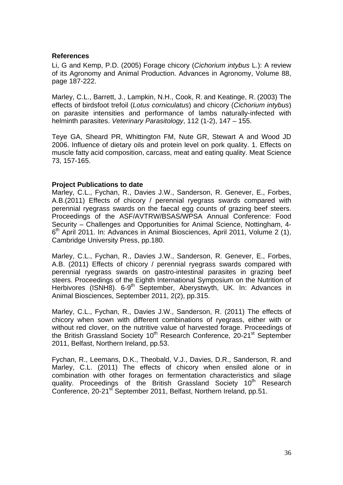#### **References**

Li, G and Kemp, P.D. (2005) Forage chicory (*Cichorium intybus* L.): A review of its Agronomy and Animal Production. Advances in Agronomy, Volume 88, page 187-222.

Marley, C.L., Barrett, J., Lampkin, N.H., Cook, R. and Keatinge, R. (2003) The effects of birdsfoot trefoil (*Lotus corniculatus*) and chicory (*Cichorium intybus*) on parasite intensities and performance of lambs naturally-infected with helminth parasites. *Veterinary Parasitology*, 112 (1-2), 147 – 155.

Teye GA, Sheard PR, Whittington FM, Nute GR, Stewart A and Wood JD 2006. Influence of dietary oils and protein level on pork quality. 1. Effects on muscle fatty acid composition, carcass, meat and eating quality. Meat Science 73, 157-165.

#### **Project Publications to date**

Marley, C.L., Fychan, R., Davies J.W., Sanderson, R. Genever, E., Forbes, A.B.(2011) Effects of chicory / perennial ryegrass swards compared with perennial ryegrass swards on the faecal egg counts of grazing beef steers. Proceedings of the ASF/AVTRW/BSAS/WPSA Annual Conference: Food Security – Challenges and Opportunities for Animal Science, Nottingham, 4- 6<sup>th</sup> April 2011. In: Advances in Animal Biosciences, April 2011, Volume 2 (1), Cambridge University Press, pp.180.

Marley, C.L., Fychan, R., Davies J.W., Sanderson, R. Genever, E., Forbes, A.B. (2011) Effects of chicory / perennial ryegrass swards compared with perennial ryegrass swards on gastro-intestinal parasites in grazing beef steers. Proceedings of the Eighth International Symposium on the Nutrition of Herbivores (ISNH8). 6-9<sup>th</sup> September, Aberystwyth, UK. In: Advances in Animal Biosciences, September 2011, 2(2), pp.315.

Marley, C.L., Fychan, R., Davies J.W., Sanderson, R. (2011) The effects of chicory when sown with different combinations of ryegrass, either with or without red clover, on the nutritive value of harvested forage. Proceedings of the British Grassland Society 10<sup>th</sup> Research Conference, 20-21<sup>st</sup> September 2011, Belfast, Northern Ireland, pp.53.

Fychan, R., Leemans, D.K., Theobald, V.J., Davies, D.R., Sanderson, R. and Marley, C.L. (2011) The effects of chicory when ensiled alone or in combination with other forages on fermentation characteristics and silage quality. Proceedings of the British Grassland Society 10<sup>th</sup> Research Conference, 20-21<sup>st</sup> September 2011, Belfast, Northern Ireland, pp.51.